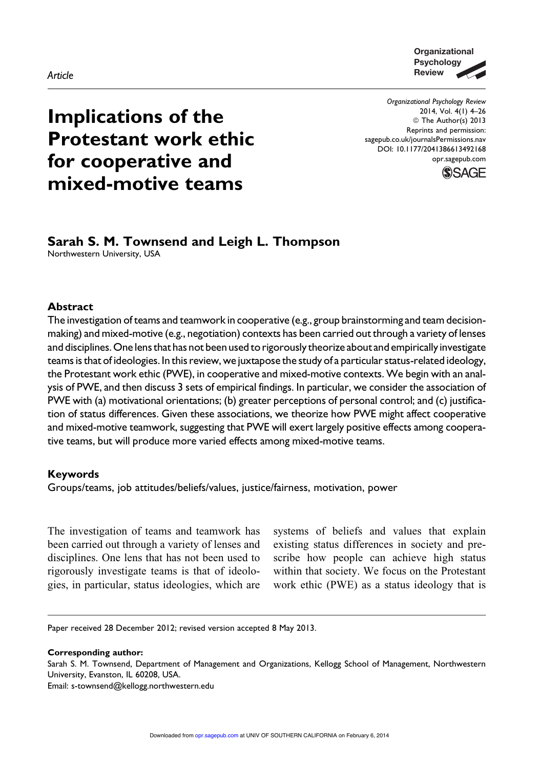Article



Organizational Psychology Review 2014, Vol. 4(1) 4–26 © The Author(s) 2013 Reprints and permission: [sagepub.co.uk/journalsPermissions.nav](http://www.sagepub.co.uk/journalsPermissions.nav) DOI: 10.1177/2041386613492168 [opr.sagepub.com](http://opr.sagepub.com)



# Implications of the Protestant work ethic for cooperative and mixed-motive teams

## Sarah S. M. Townsend and Leigh L. Thompson Northwestern University, USA

## Abstract

The investigation of teams and teamwork in cooperative (e.g., group brainstorming and team decisionmaking) and mixed-motive (e.g., negotiation) contexts has been carried out through a variety of lenses and disciplines.One lens that has not been used to rigorously theorize about and empirically investigate teams is that of ideologies. In this review, we juxtapose the study of a particular status-related ideology, the Protestant work ethic (PWE), in cooperative and mixed-motive contexts. We begin with an analysis of PWE, and then discuss 3 sets of empirical findings. In particular, we consider the association of PWE with (a) motivational orientations; (b) greater perceptions of personal control; and (c) justification of status differences. Given these associations, we theorize how PWE might affect cooperative and mixed-motive teamwork, suggesting that PWE will exert largely positive effects among cooperative teams, but will produce more varied effects among mixed-motive teams.

## Keywords

Groups/teams, job attitudes/beliefs/values, justice/fairness, motivation, power

The investigation of teams and teamwork has been carried out through a variety of lenses and disciplines. One lens that has not been used to rigorously investigate teams is that of ideologies, in particular, status ideologies, which are systems of beliefs and values that explain existing status differences in society and prescribe how people can achieve high status within that society. We focus on the Protestant work ethic (PWE) as a status ideology that is

Paper received 28 December 2012; revised version accepted 8 May 2013.

Corresponding author:

Sarah S. M. Townsend, Department of Management and Organizations, Kellogg School of Management, Northwestern University, Evanston, IL 60208, USA.

Email: s-townsend@kellogg.northwestern.edu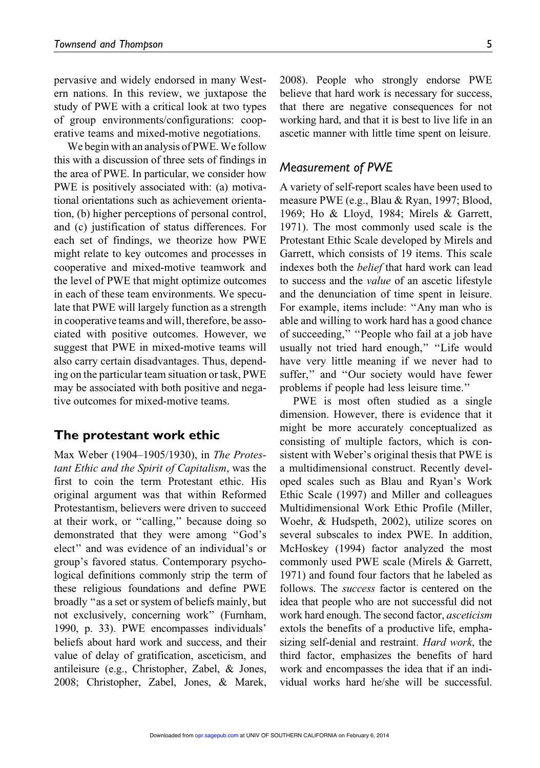pervasive and widely endorsed in many Western nations. In this review, we juxtapose the study of PWE with a critical look at two types of group environments/configurations: cooperative teams and mixed-motive negotiations.

We begin with an analysis of PWE. We follow this with a discussion of three sets of findings in the area of PWE. In particular, we consider how PWE is positively associated with: (a) motivational orientations such as achievement orientation, (b) higher perceptions of personal control, and (c) justification of status differences. For each set of findings, we theorize how PWE might relate to key outcomes and processes in cooperative and mixed-motive teamwork and the level of PWE that might optimize outcomes in each of these team environments. We speculate that PWE will largely function as a strength in cooperative teams and will, therefore, be associated with positive outcomes. However, we suggest that PWE in mixed-motive teams will also carry certain disadvantages. Thus, depending on the particular team situation or task, PWE may be associated with both positive and negative outcomes for mixed-motive teams.

## The protestant work ethic

Max Weber (1904–1905/1930), in The Protestant Ethic and the Spirit of Capitalism, was the first to coin the term Protestant ethic. His original argument was that within Reformed Protestantism, believers were driven to succeed at their work, or ''calling,'' because doing so demonstrated that they were among ''God's elect'' and was evidence of an individual's or group's favored status. Contemporary psychological definitions commonly strip the term of these religious foundations and define PWE broadly ''as a set or system of beliefs mainly, but not exclusively, concerning work'' (Furnham, 1990, p. 33). PWE encompasses individuals' beliefs about hard work and success, and their value of delay of gratification, asceticism, and antileisure (e.g., Christopher, Zabel, & Jones, 2008; Christopher, Zabel, Jones, & Marek,

2008). People who strongly endorse PWE believe that hard work is necessary for success, that there are negative consequences for not working hard, and that it is best to live life in an ascetic manner with little time spent on leisure.

## Measurement of PWE

A variety of self-report scales have been used to measure PWE (e.g., Blau & Ryan, 1997; Blood, 1969; Ho & Lloyd, 1984; Mirels & Garrett, 1971). The most commonly used scale is the Protestant Ethic Scale developed by Mirels and Garrett, which consists of 19 items. This scale indexes both the belief that hard work can lead to success and the value of an ascetic lifestyle and the denunciation of time spent in leisure. For example, items include: ''Any man who is able and willing to work hard has a good chance of succeeding,'' ''People who fail at a job have usually not tried hard enough,'' ''Life would have very little meaning if we never had to suffer,'' and ''Our society would have fewer problems if people had less leisure time.''

PWE is most often studied as a single dimension. However, there is evidence that it might be more accurately conceptualized as consisting of multiple factors, which is consistent with Weber's original thesis that PWE is a multidimensional construct. Recently developed scales such as Blau and Ryan's Work Ethic Scale (1997) and Miller and colleagues Multidimensional Work Ethic Profile (Miller, Woehr, & Hudspeth, 2002), utilize scores on several subscales to index PWE. In addition, McHoskey (1994) factor analyzed the most commonly used PWE scale (Mirels & Garrett, 1971) and found four factors that he labeled as follows. The success factor is centered on the idea that people who are not successful did not work hard enough. The second factor, asceticism extols the benefits of a productive life, emphasizing self-denial and restraint. Hard work, the third factor, emphasizes the benefits of hard work and encompasses the idea that if an individual works hard he/she will be successful.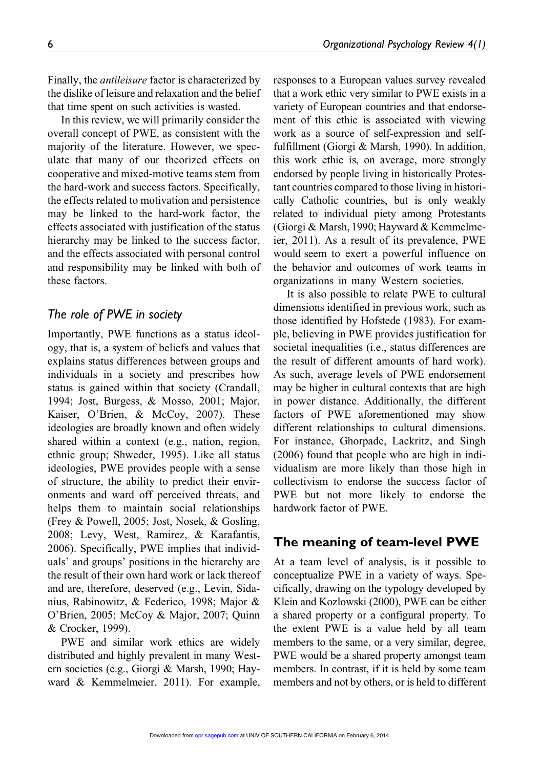Finally, the antileisure factor is characterized by the dislike of leisure and relaxation and the belief that time spent on such activities is wasted.

In this review, we will primarily consider the overall concept of PWE, as consistent with the majority of the literature. However, we speculate that many of our theorized effects on cooperative and mixed-motive teams stem from the hard-work and success factors. Specifically, the effects related to motivation and persistence may be linked to the hard-work factor, the effects associated with justification of the status hierarchy may be linked to the success factor, and the effects associated with personal control and responsibility may be linked with both of these factors.

## The role of PWE in society

Importantly, PWE functions as a status ideology, that is, a system of beliefs and values that explains status differences between groups and individuals in a society and prescribes how status is gained within that society (Crandall, 1994; Jost, Burgess, & Mosso, 2001; Major, Kaiser, O'Brien, & McCoy, 2007). These ideologies are broadly known and often widely shared within a context (e.g., nation, region, ethnic group; Shweder, 1995). Like all status ideologies, PWE provides people with a sense of structure, the ability to predict their environments and ward off perceived threats, and helps them to maintain social relationships (Frey & Powell, 2005; Jost, Nosek, & Gosling, 2008; Levy, West, Ramirez, & Karafantis, 2006). Specifically, PWE implies that individuals' and groups' positions in the hierarchy are the result of their own hard work or lack thereof and are, therefore, deserved (e.g., Levin, Sidanius, Rabinowitz, & Federico, 1998; Major & O'Brien, 2005; McCoy & Major, 2007; Quinn & Crocker, 1999).

PWE and similar work ethics are widely distributed and highly prevalent in many Western societies (e.g., Giorgi & Marsh, 1990; Hayward & Kemmelmeier, 2011). For example,

responses to a European values survey revealed that a work ethic very similar to PWE exists in a variety of European countries and that endorsement of this ethic is associated with viewing work as a source of self-expression and selffulfillment (Giorgi & Marsh, 1990). In addition, this work ethic is, on average, more strongly endorsed by people living in historically Protestant countries compared to those living in historically Catholic countries, but is only weakly related to individual piety among Protestants (Giorgi & Marsh, 1990; Hayward & Kemmelmeier, 2011). As a result of its prevalence, PWE would seem to exert a powerful influence on the behavior and outcomes of work teams in organizations in many Western societies.

It is also possible to relate PWE to cultural dimensions identified in previous work, such as those identified by Hofstede (1983). For example, believing in PWE provides justification for societal inequalities (i.e., status differences are the result of different amounts of hard work). As such, average levels of PWE endorsement may be higher in cultural contexts that are high in power distance. Additionally, the different factors of PWE aforementioned may show different relationships to cultural dimensions. For instance, Ghorpade, Lackritz, and Singh (2006) found that people who are high in individualism are more likely than those high in collectivism to endorse the success factor of PWE but not more likely to endorse the hardwork factor of PWE.

## The meaning of team-level PWE

At a team level of analysis, is it possible to conceptualize PWE in a variety of ways. Specifically, drawing on the typology developed by Klein and Kozlowski (2000), PWE can be either a shared property or a configural property. To the extent PWE is a value held by all team members to the same, or a very similar, degree, PWE would be a shared property amongst team members. In contrast, if it is held by some team members and not by others, or is held to different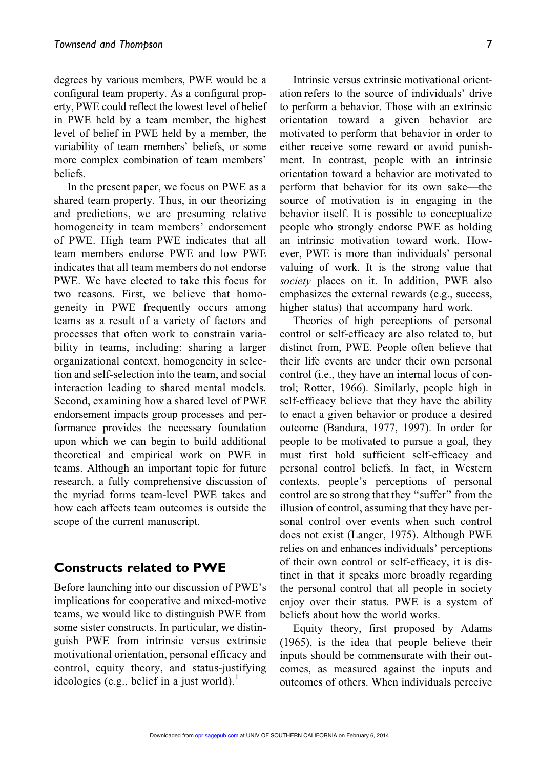degrees by various members, PWE would be a configural team property. As a configural property, PWE could reflect the lowest level of belief in PWE held by a team member, the highest level of belief in PWE held by a member, the variability of team members' beliefs, or some more complex combination of team members' beliefs.

In the present paper, we focus on PWE as a shared team property. Thus, in our theorizing and predictions, we are presuming relative homogeneity in team members' endorsement of PWE. High team PWE indicates that all team members endorse PWE and low PWE indicates that all team members do not endorse PWE. We have elected to take this focus for two reasons. First, we believe that homogeneity in PWE frequently occurs among teams as a result of a variety of factors and processes that often work to constrain variability in teams, including: sharing a larger organizational context, homogeneity in selection and self-selection into the team, and social interaction leading to shared mental models. Second, examining how a shared level of PWE endorsement impacts group processes and performance provides the necessary foundation upon which we can begin to build additional theoretical and empirical work on PWE in teams. Although an important topic for future research, a fully comprehensive discussion of the myriad forms team-level PWE takes and how each affects team outcomes is outside the scope of the current manuscript.

## Constructs related to PWE

Before launching into our discussion of PWE's implications for cooperative and mixed-motive teams, we would like to distinguish PWE from some sister constructs. In particular, we distinguish PWE from intrinsic versus extrinsic motivational orientation, personal efficacy and control, equity theory, and status-justifying ideologies (e.g., belief in a just world).<sup>1</sup>

Intrinsic versus extrinsic motivational orientation refers to the source of individuals' drive to perform a behavior. Those with an extrinsic orientation toward a given behavior are motivated to perform that behavior in order to either receive some reward or avoid punishment. In contrast, people with an intrinsic orientation toward a behavior are motivated to perform that behavior for its own sake—the source of motivation is in engaging in the behavior itself. It is possible to conceptualize people who strongly endorse PWE as holding an intrinsic motivation toward work. However, PWE is more than individuals' personal valuing of work. It is the strong value that society places on it. In addition, PWE also emphasizes the external rewards (e.g., success, higher status) that accompany hard work.

Theories of high perceptions of personal control or self-efficacy are also related to, but distinct from, PWE. People often believe that their life events are under their own personal control (i.e., they have an internal locus of control; Rotter, 1966). Similarly, people high in self-efficacy believe that they have the ability to enact a given behavior or produce a desired outcome (Bandura, 1977, 1997). In order for people to be motivated to pursue a goal, they must first hold sufficient self-efficacy and personal control beliefs. In fact, in Western contexts, people's perceptions of personal control are so strong that they ''suffer'' from the illusion of control, assuming that they have personal control over events when such control does not exist (Langer, 1975). Although PWE relies on and enhances individuals' perceptions of their own control or self-efficacy, it is distinct in that it speaks more broadly regarding the personal control that all people in society enjoy over their status. PWE is a system of beliefs about how the world works.

Equity theory, first proposed by Adams (1965), is the idea that people believe their inputs should be commensurate with their outcomes, as measured against the inputs and outcomes of others. When individuals perceive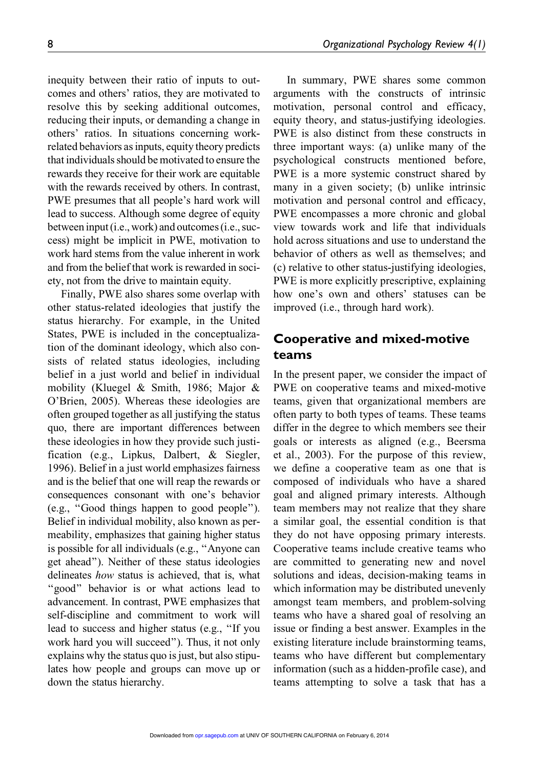inequity between their ratio of inputs to outcomes and others' ratios, they are motivated to resolve this by seeking additional outcomes, reducing their inputs, or demanding a change in others' ratios. In situations concerning workrelated behaviors as inputs, equity theory predicts that individuals should be motivated to ensure the rewards they receive for their work are equitable with the rewards received by others. In contrast, PWE presumes that all people's hard work will lead to success. Although some degree of equity between input (i.e., work) and outcomes (i.e., success) might be implicit in PWE, motivation to work hard stems from the value inherent in work and from the belief that work is rewarded in society, not from the drive to maintain equity.

Finally, PWE also shares some overlap with other status-related ideologies that justify the status hierarchy. For example, in the United States, PWE is included in the conceptualization of the dominant ideology, which also consists of related status ideologies, including belief in a just world and belief in individual mobility (Kluegel & Smith, 1986; Major & O'Brien, 2005). Whereas these ideologies are often grouped together as all justifying the status quo, there are important differences between these ideologies in how they provide such justification (e.g., Lipkus, Dalbert, & Siegler, 1996). Belief in a just world emphasizes fairness and is the belief that one will reap the rewards or consequences consonant with one's behavior (e.g., ''Good things happen to good people''). Belief in individual mobility, also known as permeability, emphasizes that gaining higher status is possible for all individuals (e.g., ''Anyone can get ahead''). Neither of these status ideologies delineates how status is achieved, that is, what "good" behavior is or what actions lead to advancement. In contrast, PWE emphasizes that self-discipline and commitment to work will lead to success and higher status (e.g., ''If you work hard you will succeed''). Thus, it not only explains why the status quo is just, but also stipulates how people and groups can move up or down the status hierarchy.

In summary, PWE shares some common arguments with the constructs of intrinsic motivation, personal control and efficacy, equity theory, and status-justifying ideologies. PWE is also distinct from these constructs in three important ways: (a) unlike many of the psychological constructs mentioned before, PWE is a more systemic construct shared by many in a given society; (b) unlike intrinsic motivation and personal control and efficacy, PWE encompasses a more chronic and global view towards work and life that individuals hold across situations and use to understand the behavior of others as well as themselves; and (c) relative to other status-justifying ideologies, PWE is more explicitly prescriptive, explaining how one's own and others' statuses can be improved (i.e., through hard work).

# Cooperative and mixed-motive teams

In the present paper, we consider the impact of PWE on cooperative teams and mixed-motive teams, given that organizational members are often party to both types of teams. These teams differ in the degree to which members see their goals or interests as aligned (e.g., Beersma et al., 2003). For the purpose of this review, we define a cooperative team as one that is composed of individuals who have a shared goal and aligned primary interests. Although team members may not realize that they share a similar goal, the essential condition is that they do not have opposing primary interests. Cooperative teams include creative teams who are committed to generating new and novel solutions and ideas, decision-making teams in which information may be distributed unevenly amongst team members, and problem-solving teams who have a shared goal of resolving an issue or finding a best answer. Examples in the existing literature include brainstorming teams, teams who have different but complementary information (such as a hidden-profile case), and teams attempting to solve a task that has a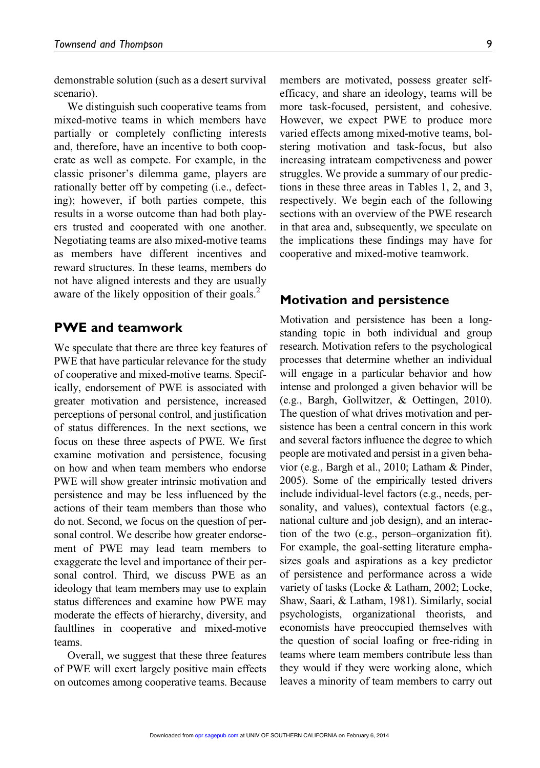demonstrable solution (such as a desert survival scenario).

We distinguish such cooperative teams from mixed-motive teams in which members have partially or completely conflicting interests and, therefore, have an incentive to both cooperate as well as compete. For example, in the classic prisoner's dilemma game, players are rationally better off by competing (i.e., defecting); however, if both parties compete, this results in a worse outcome than had both players trusted and cooperated with one another. Negotiating teams are also mixed-motive teams as members have different incentives and reward structures. In these teams, members do not have aligned interests and they are usually aware of the likely opposition of their goals.<sup>2</sup>

## PWE and teamwork

We speculate that there are three key features of PWE that have particular relevance for the study of cooperative and mixed-motive teams. Specifically, endorsement of PWE is associated with greater motivation and persistence, increased perceptions of personal control, and justification of status differences. In the next sections, we focus on these three aspects of PWE. We first examine motivation and persistence, focusing on how and when team members who endorse PWE will show greater intrinsic motivation and persistence and may be less influenced by the actions of their team members than those who do not. Second, we focus on the question of personal control. We describe how greater endorsement of PWE may lead team members to exaggerate the level and importance of their personal control. Third, we discuss PWE as an ideology that team members may use to explain status differences and examine how PWE may moderate the effects of hierarchy, diversity, and faultlines in cooperative and mixed-motive teams.

Overall, we suggest that these three features of PWE will exert largely positive main effects on outcomes among cooperative teams. Because members are motivated, possess greater selfefficacy, and share an ideology, teams will be more task-focused, persistent, and cohesive. However, we expect PWE to produce more varied effects among mixed-motive teams, bolstering motivation and task-focus, but also increasing intrateam competiveness and power struggles. We provide a summary of our predictions in these three areas in Tables 1, 2, and 3, respectively. We begin each of the following sections with an overview of the PWE research in that area and, subsequently, we speculate on the implications these findings may have for cooperative and mixed-motive teamwork.

## Motivation and persistence

Motivation and persistence has been a longstanding topic in both individual and group research. Motivation refers to the psychological processes that determine whether an individual will engage in a particular behavior and how intense and prolonged a given behavior will be (e.g., Bargh, Gollwitzer, & Oettingen, 2010). The question of what drives motivation and persistence has been a central concern in this work and several factors influence the degree to which people are motivated and persist in a given behavior (e.g., Bargh et al., 2010; Latham & Pinder, 2005). Some of the empirically tested drivers include individual-level factors (e.g., needs, personality, and values), contextual factors (e.g., national culture and job design), and an interaction of the two (e.g., person–organization fit). For example, the goal-setting literature emphasizes goals and aspirations as a key predictor of persistence and performance across a wide variety of tasks (Locke & Latham, 2002; Locke, Shaw, Saari, & Latham, 1981). Similarly, social psychologists, organizational theorists, and economists have preoccupied themselves with the question of social loafing or free-riding in teams where team members contribute less than they would if they were working alone, which leaves a minority of team members to carry out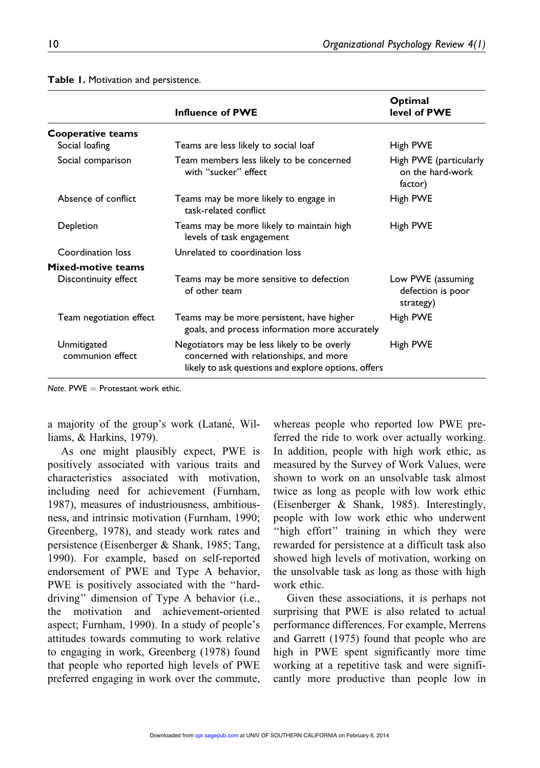|                                 | Influence of PWE                                                                                                                             | Optimal<br>level of PWE                               |
|---------------------------------|----------------------------------------------------------------------------------------------------------------------------------------------|-------------------------------------------------------|
| <b>Cooperative teams</b>        |                                                                                                                                              |                                                       |
| Social loafing                  | Teams are less likely to social loaf                                                                                                         | High PWE                                              |
| Social comparison               | Team members less likely to be concerned<br>with "sucker" effect                                                                             | High PWE (particularly<br>on the hard-work<br>factor) |
| Absence of conflict             | Teams may be more likely to engage in<br>task-related conflict                                                                               | High PWE                                              |
| Depletion                       | Teams may be more likely to maintain high<br>levels of task engagement                                                                       | High PWE                                              |
| Coordination loss               | Unrelated to coordination loss                                                                                                               |                                                       |
| Mixed-motive teams              |                                                                                                                                              |                                                       |
| Discontinuity effect            | Teams may be more sensitive to defection<br>of other team                                                                                    | Low PWE (assuming<br>defection is poor<br>strategy)   |
| Team negotiation effect         | Teams may be more persistent, have higher<br>goals, and process information more accurately                                                  | High PWE                                              |
| Unmitigated<br>communion effect | Negotiators may be less likely to be overly<br>concerned with relationships, and more<br>likely to ask questions and explore options, offers | High PWE                                              |

Table 1. Motivation and persistence.

Note.  $PWE =$  Protestant work ethic.

a majority of the group's work (Latané, Williams, & Harkins, 1979).

As one might plausibly expect, PWE is positively associated with various traits and characteristics associated with motivation, including need for achievement (Furnham, 1987), measures of industriousness, ambitiousness, and intrinsic motivation (Furnham, 1990; Greenberg, 1978), and steady work rates and persistence (Eisenberger & Shank, 1985; Tang, 1990). For example, based on self-reported endorsement of PWE and Type A behavior, PWE is positively associated with the ''harddriving'' dimension of Type A behavior (i.e., the motivation and achievement-oriented aspect; Furnham, 1990). In a study of people's attitudes towards commuting to work relative to engaging in work, Greenberg (1978) found that people who reported high levels of PWE preferred engaging in work over the commute, whereas people who reported low PWE preferred the ride to work over actually working. In addition, people with high work ethic, as measured by the Survey of Work Values, were shown to work on an unsolvable task almost twice as long as people with low work ethic (Eisenberger & Shank, 1985). Interestingly, people with low work ethic who underwent "high effort" training in which they were rewarded for persistence at a difficult task also showed high levels of motivation, working on the unsolvable task as long as those with high work ethic.

Given these associations, it is perhaps not surprising that PWE is also related to actual performance differences. For example, Merrens and Garrett (1975) found that people who are high in PWE spent significantly more time working at a repetitive task and were significantly more productive than people low in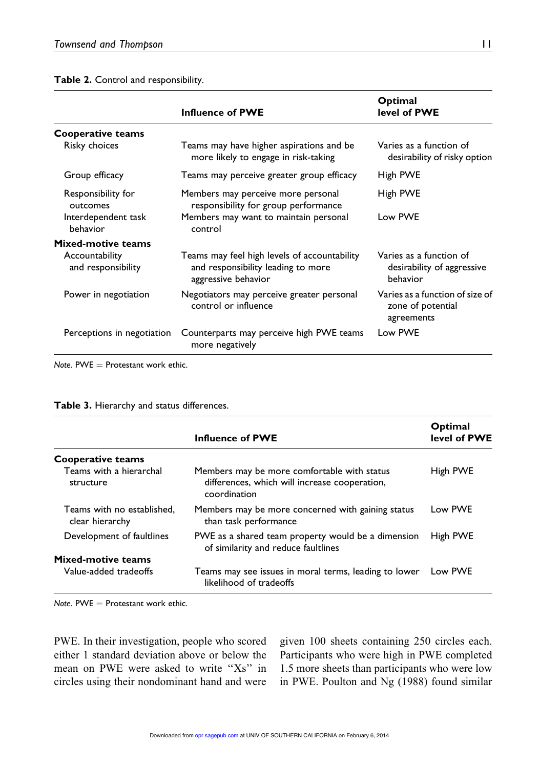|  |  |  |  | Table 2. Control and responsibility. |
|--|--|--|--|--------------------------------------|
|--|--|--|--|--------------------------------------|

|                                      | <b>Influence of PWE</b>                                                                                   | Optimal<br>level of PWE                                            |
|--------------------------------------|-----------------------------------------------------------------------------------------------------------|--------------------------------------------------------------------|
| Cooperative teams                    |                                                                                                           |                                                                    |
| Risky choices                        | Teams may have higher aspirations and be<br>more likely to engage in risk-taking                          | Varies as a function of<br>desirability of risky option            |
| Group efficacy                       | Teams may perceive greater group efficacy                                                                 | High PWE                                                           |
| Responsibility for<br>outcomes       | Members may perceive more personal<br>responsibility for group performance                                | High PWE                                                           |
| Interdependent task<br>hehavior      | Members may want to maintain personal<br>control                                                          | Low PWE                                                            |
| <b>Mixed-motive teams</b>            |                                                                                                           |                                                                    |
| Accountability<br>and responsibility | Teams may feel high levels of accountability<br>and responsibility leading to more<br>aggressive behavior | Varies as a function of<br>desirability of aggressive<br>behavior  |
| Power in negotiation                 | Negotiators may perceive greater personal<br>control or influence                                         | Varies as a function of size of<br>zone of potential<br>agreements |
| Perceptions in negotiation           | Counterparts may perceive high PWE teams<br>more negatively                                               | Low PWE                                                            |

 $Note. PWE = Protestant work,$ 

Table 3. Hierarchy and status differences.

|                                               | Influence of PWE                                                                                             | Optimal<br>level of PWE |
|-----------------------------------------------|--------------------------------------------------------------------------------------------------------------|-------------------------|
| Cooperative teams                             |                                                                                                              |                         |
| Teams with a hierarchal<br>structure          | Members may be more comfortable with status<br>differences, which will increase cooperation,<br>coordination | High PWE                |
| Teams with no established.<br>clear hierarchy | Members may be more concerned with gaining status<br>than task performance                                   | Low PWE                 |
| Development of faultlines                     | PWE as a shared team property would be a dimension<br>of similarity and reduce faultlines                    | High PWE                |
| Mixed-motive teams                            |                                                                                                              |                         |
| Value-added tradeoffs                         | Teams may see issues in moral terms, leading to lower<br>likelihood of tradeoffs                             | Low PWE                 |

Note.  $PWE =$  Protestant work ethic.

PWE. In their investigation, people who scored either 1 standard deviation above or below the mean on PWE were asked to write "Xs" in circles using their nondominant hand and were

given 100 sheets containing 250 circles each. Participants who were high in PWE completed 1.5 more sheets than participants who were low in PWE. Poulton and Ng (1988) found similar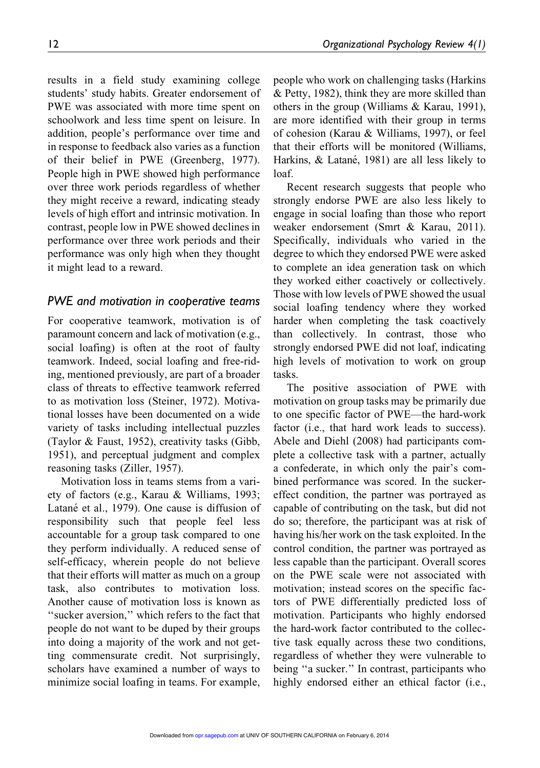results in a field study examining college students' study habits. Greater endorsement of PWE was associated with more time spent on schoolwork and less time spent on leisure. In addition, people's performance over time and in response to feedback also varies as a function of their belief in PWE (Greenberg, 1977). People high in PWE showed high performance over three work periods regardless of whether they might receive a reward, indicating steady levels of high effort and intrinsic motivation. In contrast, people low in PWE showed declines in performance over three work periods and their performance was only high when they thought it might lead to a reward.

#### PWE and motivation in cooperative teams

For cooperative teamwork, motivation is of paramount concern and lack of motivation (e.g., social loafing) is often at the root of faulty teamwork. Indeed, social loafing and free-riding, mentioned previously, are part of a broader class of threats to effective teamwork referred to as motivation loss (Steiner, 1972). Motivational losses have been documented on a wide variety of tasks including intellectual puzzles (Taylor & Faust, 1952), creativity tasks (Gibb, 1951), and perceptual judgment and complex reasoning tasks (Ziller, 1957).

Motivation loss in teams stems from a variety of factors (e.g., Karau & Williams, 1993; Latané et al., 1979). One cause is diffusion of responsibility such that people feel less accountable for a group task compared to one they perform individually. A reduced sense of self-efficacy, wherein people do not believe that their efforts will matter as much on a group task, also contributes to motivation loss. Another cause of motivation loss is known as ''sucker aversion,'' which refers to the fact that people do not want to be duped by their groups into doing a majority of the work and not getting commensurate credit. Not surprisingly, scholars have examined a number of ways to minimize social loafing in teams. For example,

people who work on challenging tasks (Harkins & Petty, 1982), think they are more skilled than others in the group (Williams & Karau, 1991), are more identified with their group in terms of cohesion (Karau & Williams, 1997), or feel that their efforts will be monitored (Williams, Harkins, & Latané, 1981) are all less likely to loaf.

Recent research suggests that people who strongly endorse PWE are also less likely to engage in social loafing than those who report weaker endorsement (Smrt & Karau, 2011). Specifically, individuals who varied in the degree to which they endorsed PWE were asked to complete an idea generation task on which they worked either coactively or collectively. Those with low levels of PWE showed the usual social loafing tendency where they worked harder when completing the task coactively than collectively. In contrast, those who strongly endorsed PWE did not loaf, indicating high levels of motivation to work on group tasks.

The positive association of PWE with motivation on group tasks may be primarily due to one specific factor of PWE—the hard-work factor (i.e., that hard work leads to success). Abele and Diehl (2008) had participants complete a collective task with a partner, actually a confederate, in which only the pair's combined performance was scored. In the suckereffect condition, the partner was portrayed as capable of contributing on the task, but did not do so; therefore, the participant was at risk of having his/her work on the task exploited. In the control condition, the partner was portrayed as less capable than the participant. Overall scores on the PWE scale were not associated with motivation; instead scores on the specific factors of PWE differentially predicted loss of motivation. Participants who highly endorsed the hard-work factor contributed to the collective task equally across these two conditions, regardless of whether they were vulnerable to being ''a sucker.'' In contrast, participants who highly endorsed either an ethical factor (i.e.,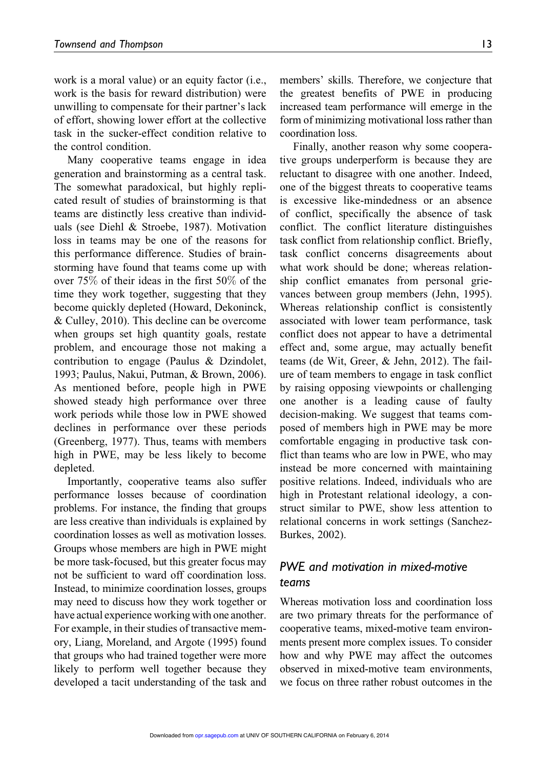work is a moral value) or an equity factor (i.e., work is the basis for reward distribution) were unwilling to compensate for their partner's lack of effort, showing lower effort at the collective task in the sucker-effect condition relative to the control condition.

Many cooperative teams engage in idea generation and brainstorming as a central task. The somewhat paradoxical, but highly replicated result of studies of brainstorming is that teams are distinctly less creative than individuals (see Diehl & Stroebe, 1987). Motivation loss in teams may be one of the reasons for this performance difference. Studies of brainstorming have found that teams come up with over 75% of their ideas in the first 50% of the time they work together, suggesting that they become quickly depleted (Howard, Dekoninck, & Culley, 2010). This decline can be overcome when groups set high quantity goals, restate problem, and encourage those not making a contribution to engage (Paulus & Dzindolet, 1993; Paulus, Nakui, Putman, & Brown, 2006). As mentioned before, people high in PWE showed steady high performance over three work periods while those low in PWE showed declines in performance over these periods (Greenberg, 1977). Thus, teams with members high in PWE, may be less likely to become depleted.

Importantly, cooperative teams also suffer performance losses because of coordination problems. For instance, the finding that groups are less creative than individuals is explained by coordination losses as well as motivation losses. Groups whose members are high in PWE might be more task-focused, but this greater focus may not be sufficient to ward off coordination loss. Instead, to minimize coordination losses, groups may need to discuss how they work together or have actual experience working with one another. For example, in their studies of transactive memory, Liang, Moreland, and Argote (1995) found that groups who had trained together were more likely to perform well together because they developed a tacit understanding of the task and

members' skills. Therefore, we conjecture that the greatest benefits of PWE in producing increased team performance will emerge in the form of minimizing motivational loss rather than coordination loss.

Finally, another reason why some cooperative groups underperform is because they are reluctant to disagree with one another. Indeed, one of the biggest threats to cooperative teams is excessive like-mindedness or an absence of conflict, specifically the absence of task conflict. The conflict literature distinguishes task conflict from relationship conflict. Briefly, task conflict concerns disagreements about what work should be done; whereas relationship conflict emanates from personal grievances between group members (Jehn, 1995). Whereas relationship conflict is consistently associated with lower team performance, task conflict does not appear to have a detrimental effect and, some argue, may actually benefit teams (de Wit, Greer, & Jehn, 2012). The failure of team members to engage in task conflict by raising opposing viewpoints or challenging one another is a leading cause of faulty decision-making. We suggest that teams composed of members high in PWE may be more comfortable engaging in productive task conflict than teams who are low in PWE, who may instead be more concerned with maintaining positive relations. Indeed, individuals who are high in Protestant relational ideology, a construct similar to PWE, show less attention to relational concerns in work settings (Sanchez-Burkes, 2002).

# PWE and motivation in mixed-motive teams

Whereas motivation loss and coordination loss are two primary threats for the performance of cooperative teams, mixed-motive team environments present more complex issues. To consider how and why PWE may affect the outcomes observed in mixed-motive team environments, we focus on three rather robust outcomes in the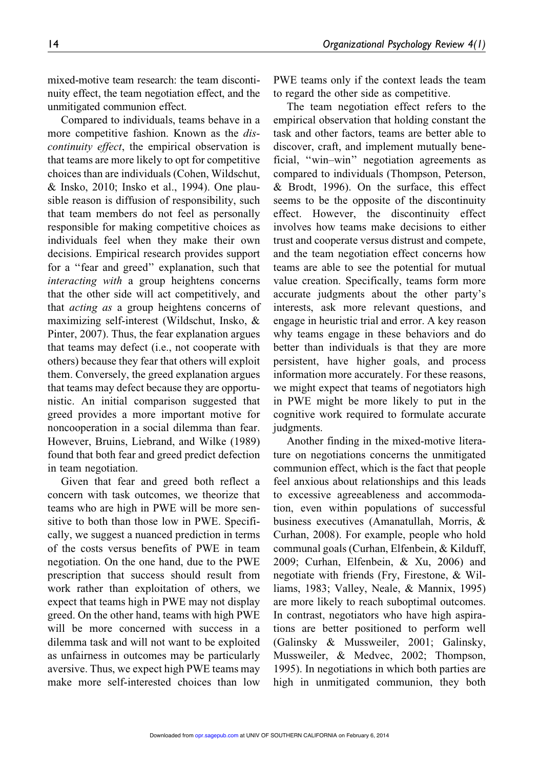mixed-motive team research: the team discontinuity effect, the team negotiation effect, and the unmitigated communion effect.

Compared to individuals, teams behave in a more competitive fashion. Known as the *dis*continuity effect, the empirical observation is that teams are more likely to opt for competitive choices than are individuals (Cohen, Wildschut, & Insko, 2010; Insko et al., 1994). One plausible reason is diffusion of responsibility, such that team members do not feel as personally responsible for making competitive choices as individuals feel when they make their own decisions. Empirical research provides support for a ''fear and greed'' explanation, such that interacting with a group heightens concerns that the other side will act competitively, and that acting as a group heightens concerns of maximizing self-interest (Wildschut, Insko, & Pinter, 2007). Thus, the fear explanation argues that teams may defect (i.e., not cooperate with others) because they fear that others will exploit them. Conversely, the greed explanation argues that teams may defect because they are opportunistic. An initial comparison suggested that greed provides a more important motive for noncooperation in a social dilemma than fear. However, Bruins, Liebrand, and Wilke (1989) found that both fear and greed predict defection in team negotiation.

Given that fear and greed both reflect a concern with task outcomes, we theorize that teams who are high in PWE will be more sensitive to both than those low in PWE. Specifically, we suggest a nuanced prediction in terms of the costs versus benefits of PWE in team negotiation. On the one hand, due to the PWE prescription that success should result from work rather than exploitation of others, we expect that teams high in PWE may not display greed. On the other hand, teams with high PWE will be more concerned with success in a dilemma task and will not want to be exploited as unfairness in outcomes may be particularly aversive. Thus, we expect high PWE teams may make more self-interested choices than low

PWE teams only if the context leads the team to regard the other side as competitive.

The team negotiation effect refers to the empirical observation that holding constant the task and other factors, teams are better able to discover, craft, and implement mutually beneficial, ''win–win'' negotiation agreements as compared to individuals (Thompson, Peterson, & Brodt, 1996). On the surface, this effect seems to be the opposite of the discontinuity effect. However, the discontinuity effect involves how teams make decisions to either trust and cooperate versus distrust and compete, and the team negotiation effect concerns how teams are able to see the potential for mutual value creation. Specifically, teams form more accurate judgments about the other party's interests, ask more relevant questions, and engage in heuristic trial and error. A key reason why teams engage in these behaviors and do better than individuals is that they are more persistent, have higher goals, and process information more accurately. For these reasons, we might expect that teams of negotiators high in PWE might be more likely to put in the cognitive work required to formulate accurate judgments.

Another finding in the mixed-motive literature on negotiations concerns the unmitigated communion effect, which is the fact that people feel anxious about relationships and this leads to excessive agreeableness and accommodation, even within populations of successful business executives (Amanatullah, Morris, & Curhan, 2008). For example, people who hold communal goals (Curhan, Elfenbein, & Kilduff, 2009; Curhan, Elfenbein, & Xu, 2006) and negotiate with friends (Fry, Firestone, & Williams, 1983; Valley, Neale, & Mannix, 1995) are more likely to reach suboptimal outcomes. In contrast, negotiators who have high aspirations are better positioned to perform well (Galinsky & Mussweiler, 2001; Galinsky, Mussweiler, & Medvec, 2002; Thompson, 1995). In negotiations in which both parties are high in unmitigated communion, they both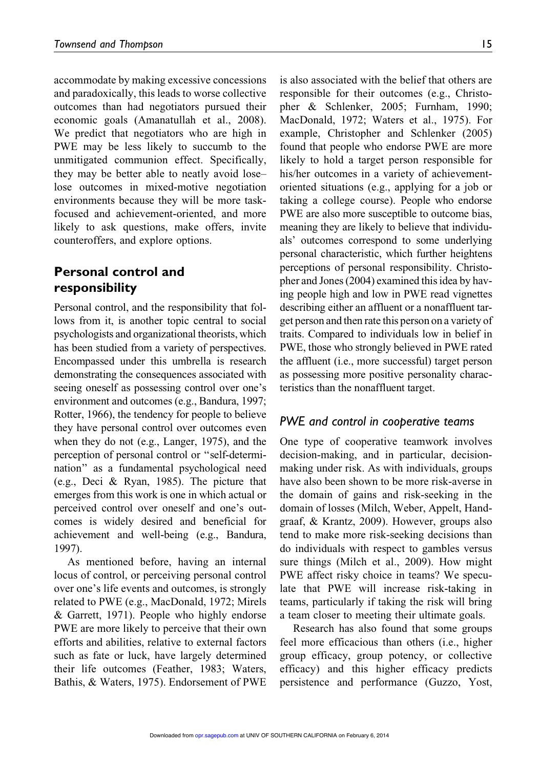accommodate by making excessive concessions and paradoxically, this leads to worse collective outcomes than had negotiators pursued their economic goals (Amanatullah et al., 2008). We predict that negotiators who are high in PWE may be less likely to succumb to the unmitigated communion effect. Specifically, they may be better able to neatly avoid lose– lose outcomes in mixed-motive negotiation environments because they will be more taskfocused and achievement-oriented, and more likely to ask questions, make offers, invite counteroffers, and explore options.

# Personal control and responsibility

Personal control, and the responsibility that follows from it, is another topic central to social psychologists and organizational theorists, which has been studied from a variety of perspectives. Encompassed under this umbrella is research demonstrating the consequences associated with seeing oneself as possessing control over one's environment and outcomes (e.g., Bandura, 1997; Rotter, 1966), the tendency for people to believe they have personal control over outcomes even when they do not (e.g., Langer, 1975), and the perception of personal control or ''self-determination'' as a fundamental psychological need (e.g., Deci & Ryan, 1985). The picture that emerges from this work is one in which actual or perceived control over oneself and one's outcomes is widely desired and beneficial for achievement and well-being (e.g., Bandura, 1997).

As mentioned before, having an internal locus of control, or perceiving personal control over one's life events and outcomes, is strongly related to PWE (e.g., MacDonald, 1972; Mirels & Garrett, 1971). People who highly endorse PWE are more likely to perceive that their own efforts and abilities, relative to external factors such as fate or luck, have largely determined their life outcomes (Feather, 1983; Waters, Bathis, & Waters, 1975). Endorsement of PWE

is also associated with the belief that others are responsible for their outcomes (e.g., Christopher & Schlenker, 2005; Furnham, 1990; MacDonald, 1972; Waters et al., 1975). For example, Christopher and Schlenker (2005) found that people who endorse PWE are more likely to hold a target person responsible for his/her outcomes in a variety of achievementoriented situations (e.g., applying for a job or taking a college course). People who endorse PWE are also more susceptible to outcome bias, meaning they are likely to believe that individuals' outcomes correspond to some underlying personal characteristic, which further heightens perceptions of personal responsibility. Christopher and Jones (2004) examined this idea by having people high and low in PWE read vignettes describing either an affluent or a nonaffluent target person and then rate this person on a variety of traits. Compared to individuals low in belief in PWE, those who strongly believed in PWE rated the affluent (i.e., more successful) target person as possessing more positive personality characteristics than the nonaffluent target.

## PWE and control in cooperative teams

One type of cooperative teamwork involves decision-making, and in particular, decisionmaking under risk. As with individuals, groups have also been shown to be more risk-averse in the domain of gains and risk-seeking in the domain of losses (Milch, Weber, Appelt, Handgraaf, & Krantz, 2009). However, groups also tend to make more risk-seeking decisions than do individuals with respect to gambles versus sure things (Milch et al., 2009). How might PWE affect risky choice in teams? We speculate that PWE will increase risk-taking in teams, particularly if taking the risk will bring a team closer to meeting their ultimate goals.

Research has also found that some groups feel more efficacious than others (i.e., higher group efficacy, group potency, or collective efficacy) and this higher efficacy predicts persistence and performance (Guzzo, Yost,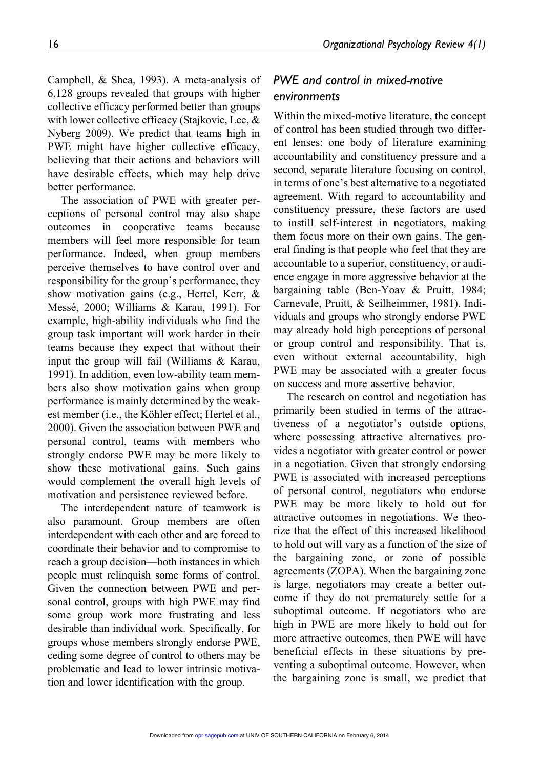Campbell, & Shea, 1993). A meta-analysis of 6,128 groups revealed that groups with higher collective efficacy performed better than groups with lower collective efficacy (Stajkovic, Lee, & Nyberg 2009). We predict that teams high in PWE might have higher collective efficacy, believing that their actions and behaviors will have desirable effects, which may help drive better performance.

The association of PWE with greater perceptions of personal control may also shape outcomes in cooperative teams because members will feel more responsible for team performance. Indeed, when group members perceive themselves to have control over and responsibility for the group's performance, they show motivation gains (e.g., Hertel, Kerr, & Messé, 2000; Williams & Karau, 1991). For example, high-ability individuals who find the group task important will work harder in their teams because they expect that without their input the group will fail (Williams & Karau, 1991). In addition, even low-ability team members also show motivation gains when group performance is mainly determined by the weakest member (*i.e.*, the Köhler effect: Hertel et al., 2000). Given the association between PWE and personal control, teams with members who strongly endorse PWE may be more likely to show these motivational gains. Such gains would complement the overall high levels of motivation and persistence reviewed before.

The interdependent nature of teamwork is also paramount. Group members are often interdependent with each other and are forced to coordinate their behavior and to compromise to reach a group decision—both instances in which people must relinquish some forms of control. Given the connection between PWE and personal control, groups with high PWE may find some group work more frustrating and less desirable than individual work. Specifically, for groups whose members strongly endorse PWE, ceding some degree of control to others may be problematic and lead to lower intrinsic motivation and lower identification with the group.

# PWE and control in mixed-motive environments

Within the mixed-motive literature, the concept of control has been studied through two different lenses: one body of literature examining accountability and constituency pressure and a second, separate literature focusing on control, in terms of one's best alternative to a negotiated agreement. With regard to accountability and constituency pressure, these factors are used to instill self-interest in negotiators, making them focus more on their own gains. The general finding is that people who feel that they are accountable to a superior, constituency, or audience engage in more aggressive behavior at the bargaining table (Ben-Yoav & Pruitt, 1984; Carnevale, Pruitt, & Seilheimmer, 1981). Individuals and groups who strongly endorse PWE may already hold high perceptions of personal or group control and responsibility. That is, even without external accountability, high PWE may be associated with a greater focus on success and more assertive behavior.

The research on control and negotiation has primarily been studied in terms of the attractiveness of a negotiator's outside options, where possessing attractive alternatives provides a negotiator with greater control or power in a negotiation. Given that strongly endorsing PWE is associated with increased perceptions of personal control, negotiators who endorse PWE may be more likely to hold out for attractive outcomes in negotiations. We theorize that the effect of this increased likelihood to hold out will vary as a function of the size of the bargaining zone, or zone of possible agreements (ZOPA). When the bargaining zone is large, negotiators may create a better outcome if they do not prematurely settle for a suboptimal outcome. If negotiators who are high in PWE are more likely to hold out for more attractive outcomes, then PWE will have beneficial effects in these situations by preventing a suboptimal outcome. However, when the bargaining zone is small, we predict that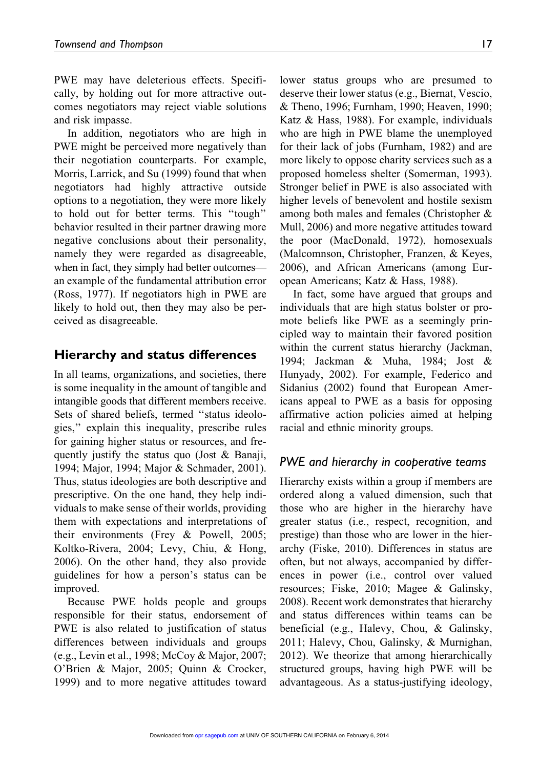PWE may have deleterious effects. Specifically, by holding out for more attractive outcomes negotiators may reject viable solutions and risk impasse.

In addition, negotiators who are high in PWE might be perceived more negatively than their negotiation counterparts. For example, Morris, Larrick, and Su (1999) found that when negotiators had highly attractive outside options to a negotiation, they were more likely to hold out for better terms. This ''tough'' behavior resulted in their partner drawing more negative conclusions about their personality, namely they were regarded as disagreeable, when in fact, they simply had better outcomes an example of the fundamental attribution error (Ross, 1977). If negotiators high in PWE are likely to hold out, then they may also be perceived as disagreeable.

# Hierarchy and status differences

In all teams, organizations, and societies, there is some inequality in the amount of tangible and intangible goods that different members receive. Sets of shared beliefs, termed ''status ideologies,'' explain this inequality, prescribe rules for gaining higher status or resources, and frequently justify the status quo (Jost & Banaji, 1994; Major, 1994; Major & Schmader, 2001). Thus, status ideologies are both descriptive and prescriptive. On the one hand, they help individuals to make sense of their worlds, providing them with expectations and interpretations of their environments (Frey & Powell, 2005; Koltko-Rivera, 2004; Levy, Chiu, & Hong, 2006). On the other hand, they also provide guidelines for how a person's status can be improved.

Because PWE holds people and groups responsible for their status, endorsement of PWE is also related to justification of status differences between individuals and groups (e.g., Levin et al., 1998; McCoy & Major, 2007; O'Brien & Major, 2005; Quinn & Crocker, 1999) and to more negative attitudes toward lower status groups who are presumed to deserve their lower status (e.g., Biernat, Vescio, & Theno, 1996; Furnham, 1990; Heaven, 1990; Katz & Hass, 1988). For example, individuals who are high in PWE blame the unemployed for their lack of jobs (Furnham, 1982) and are more likely to oppose charity services such as a proposed homeless shelter (Somerman, 1993). Stronger belief in PWE is also associated with higher levels of benevolent and hostile sexism among both males and females (Christopher & Mull, 2006) and more negative attitudes toward the poor (MacDonald, 1972), homosexuals (Malcomnson, Christopher, Franzen, & Keyes, 2006), and African Americans (among European Americans; Katz & Hass, 1988).

In fact, some have argued that groups and individuals that are high status bolster or promote beliefs like PWE as a seemingly principled way to maintain their favored position within the current status hierarchy (Jackman, 1994; Jackman & Muha, 1984; Jost & Hunyady, 2002). For example, Federico and Sidanius (2002) found that European Americans appeal to PWE as a basis for opposing affirmative action policies aimed at helping racial and ethnic minority groups.

## PWE and hierarchy in cooperative teams

Hierarchy exists within a group if members are ordered along a valued dimension, such that those who are higher in the hierarchy have greater status (i.e., respect, recognition, and prestige) than those who are lower in the hierarchy (Fiske, 2010). Differences in status are often, but not always, accompanied by differences in power (i.e., control over valued resources; Fiske, 2010; Magee & Galinsky, 2008). Recent work demonstrates that hierarchy and status differences within teams can be beneficial (e.g., Halevy, Chou, & Galinsky, 2011; Halevy, Chou, Galinsky, & Murnighan, 2012). We theorize that among hierarchically structured groups, having high PWE will be advantageous. As a status-justifying ideology,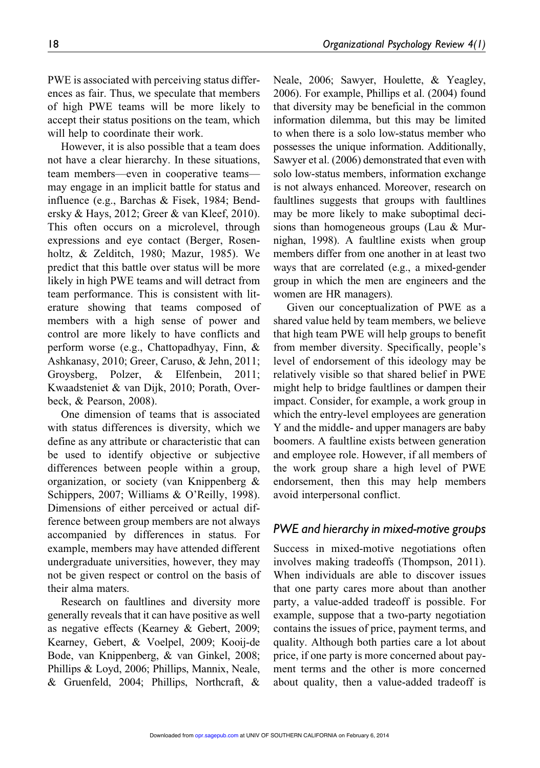PWE is associated with perceiving status differences as fair. Thus, we speculate that members of high PWE teams will be more likely to accept their status positions on the team, which will help to coordinate their work.

However, it is also possible that a team does not have a clear hierarchy. In these situations, team members—even in cooperative teams may engage in an implicit battle for status and influence (e.g., Barchas & Fisek, 1984; Bendersky & Hays, 2012; Greer & van Kleef, 2010). This often occurs on a microlevel, through expressions and eye contact (Berger, Rosenholtz, & Zelditch, 1980; Mazur, 1985). We predict that this battle over status will be more likely in high PWE teams and will detract from team performance. This is consistent with literature showing that teams composed of members with a high sense of power and control are more likely to have conflicts and perform worse (e.g., Chattopadhyay, Finn, & Ashkanasy, 2010; Greer, Caruso, & Jehn, 2011; Groysberg, Polzer, & Elfenbein, 2011; Kwaadsteniet & van Dijk, 2010; Porath, Overbeck, & Pearson, 2008).

One dimension of teams that is associated with status differences is diversity, which we define as any attribute or characteristic that can be used to identify objective or subjective differences between people within a group, organization, or society (van Knippenberg & Schippers, 2007; Williams & O'Reilly, 1998). Dimensions of either perceived or actual difference between group members are not always accompanied by differences in status. For example, members may have attended different undergraduate universities, however, they may not be given respect or control on the basis of their alma maters.

Research on faultlines and diversity more generally reveals that it can have positive as well as negative effects (Kearney & Gebert, 2009; Kearney, Gebert, & Voelpel, 2009; Kooij-de Bode, van Knippenberg, & van Ginkel, 2008; Phillips & Loyd, 2006; Phillips, Mannix, Neale, & Gruenfeld, 2004; Phillips, Northcraft, &

Neale, 2006; Sawyer, Houlette, & Yeagley, 2006). For example, Phillips et al. (2004) found that diversity may be beneficial in the common information dilemma, but this may be limited to when there is a solo low-status member who possesses the unique information. Additionally, Sawyer et al. (2006) demonstrated that even with solo low-status members, information exchange is not always enhanced. Moreover, research on faultlines suggests that groups with faultlines may be more likely to make suboptimal decisions than homogeneous groups (Lau & Murnighan, 1998). A faultline exists when group members differ from one another in at least two ways that are correlated (e.g., a mixed-gender group in which the men are engineers and the women are HR managers).

Given our conceptualization of PWE as a shared value held by team members, we believe that high team PWE will help groups to benefit from member diversity. Specifically, people's level of endorsement of this ideology may be relatively visible so that shared belief in PWE might help to bridge faultlines or dampen their impact. Consider, for example, a work group in which the entry-level employees are generation Y and the middle- and upper managers are baby boomers. A faultline exists between generation and employee role. However, if all members of the work group share a high level of PWE endorsement, then this may help members avoid interpersonal conflict.

#### PWE and hierarchy in mixed-motive groups

Success in mixed-motive negotiations often involves making tradeoffs (Thompson, 2011). When individuals are able to discover issues that one party cares more about than another party, a value-added tradeoff is possible. For example, suppose that a two-party negotiation contains the issues of price, payment terms, and quality. Although both parties care a lot about price, if one party is more concerned about payment terms and the other is more concerned about quality, then a value-added tradeoff is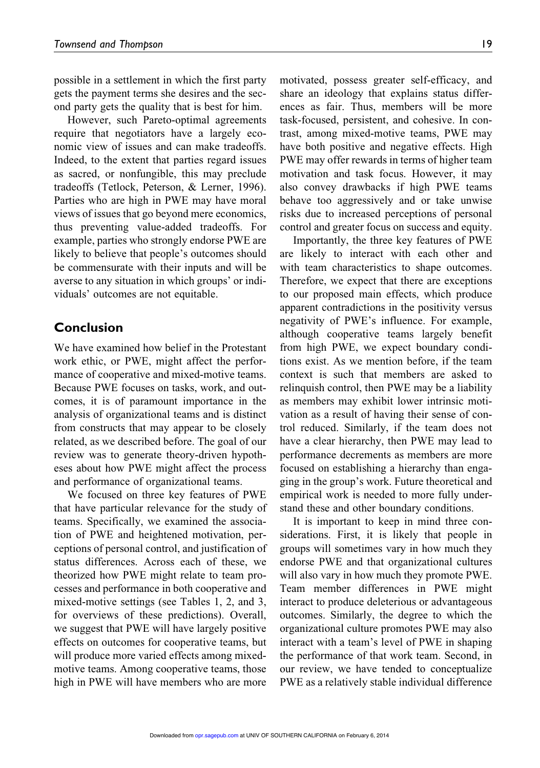possible in a settlement in which the first party gets the payment terms she desires and the second party gets the quality that is best for him.

However, such Pareto-optimal agreements require that negotiators have a largely economic view of issues and can make tradeoffs. Indeed, to the extent that parties regard issues as sacred, or nonfungible, this may preclude tradeoffs (Tetlock, Peterson, & Lerner, 1996). Parties who are high in PWE may have moral views of issues that go beyond mere economics, thus preventing value-added tradeoffs. For example, parties who strongly endorse PWE are likely to believe that people's outcomes should be commensurate with their inputs and will be averse to any situation in which groups' or individuals' outcomes are not equitable.

## Conclusion

We have examined how belief in the Protestant work ethic, or PWE, might affect the performance of cooperative and mixed-motive teams. Because PWE focuses on tasks, work, and outcomes, it is of paramount importance in the analysis of organizational teams and is distinct from constructs that may appear to be closely related, as we described before. The goal of our review was to generate theory-driven hypotheses about how PWE might affect the process and performance of organizational teams.

We focused on three key features of PWE that have particular relevance for the study of teams. Specifically, we examined the association of PWE and heightened motivation, perceptions of personal control, and justification of status differences. Across each of these, we theorized how PWE might relate to team processes and performance in both cooperative and mixed-motive settings (see Tables 1, 2, and 3, for overviews of these predictions). Overall, we suggest that PWE will have largely positive effects on outcomes for cooperative teams, but will produce more varied effects among mixedmotive teams. Among cooperative teams, those high in PWE will have members who are more

motivated, possess greater self-efficacy, and share an ideology that explains status differences as fair. Thus, members will be more task-focused, persistent, and cohesive. In contrast, among mixed-motive teams, PWE may have both positive and negative effects. High PWE may offer rewards in terms of higher team motivation and task focus. However, it may also convey drawbacks if high PWE teams behave too aggressively and or take unwise risks due to increased perceptions of personal control and greater focus on success and equity.

Importantly, the three key features of PWE are likely to interact with each other and with team characteristics to shape outcomes. Therefore, we expect that there are exceptions to our proposed main effects, which produce apparent contradictions in the positivity versus negativity of PWE's influence. For example, although cooperative teams largely benefit from high PWE, we expect boundary conditions exist. As we mention before, if the team context is such that members are asked to relinquish control, then PWE may be a liability as members may exhibit lower intrinsic motivation as a result of having their sense of control reduced. Similarly, if the team does not have a clear hierarchy, then PWE may lead to performance decrements as members are more focused on establishing a hierarchy than engaging in the group's work. Future theoretical and empirical work is needed to more fully understand these and other boundary conditions.

It is important to keep in mind three considerations. First, it is likely that people in groups will sometimes vary in how much they endorse PWE and that organizational cultures will also vary in how much they promote PWE. Team member differences in PWE might interact to produce deleterious or advantageous outcomes. Similarly, the degree to which the organizational culture promotes PWE may also interact with a team's level of PWE in shaping the performance of that work team. Second, in our review, we have tended to conceptualize PWE as a relatively stable individual difference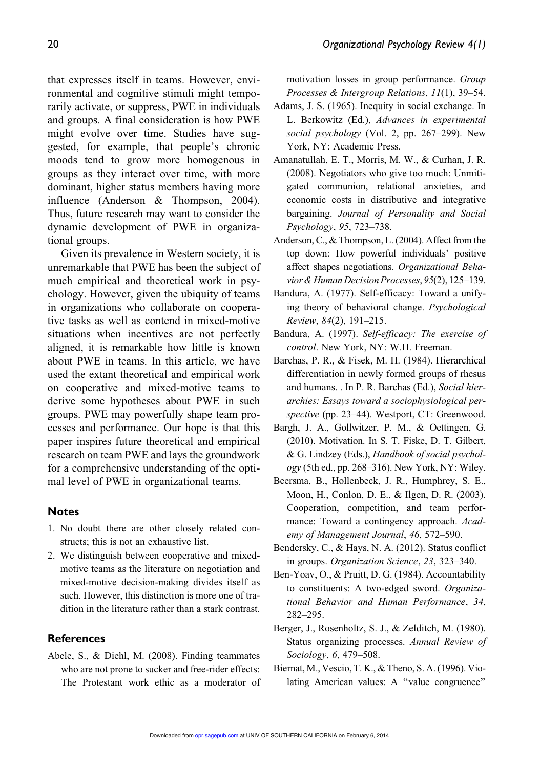that expresses itself in teams. However, environmental and cognitive stimuli might temporarily activate, or suppress, PWE in individuals and groups. A final consideration is how PWE might evolve over time. Studies have suggested, for example, that people's chronic moods tend to grow more homogenous in groups as they interact over time, with more dominant, higher status members having more influence (Anderson & Thompson, 2004). Thus, future research may want to consider the dynamic development of PWE in organizational groups.

Given its prevalence in Western society, it is unremarkable that PWE has been the subject of much empirical and theoretical work in psychology. However, given the ubiquity of teams in organizations who collaborate on cooperative tasks as well as contend in mixed-motive situations when incentives are not perfectly aligned, it is remarkable how little is known about PWE in teams. In this article, we have used the extant theoretical and empirical work on cooperative and mixed-motive teams to derive some hypotheses about PWE in such groups. PWE may powerfully shape team processes and performance. Our hope is that this paper inspires future theoretical and empirical research on team PWE and lays the groundwork for a comprehensive understanding of the optimal level of PWE in organizational teams.

#### Notes

- 1. No doubt there are other closely related constructs; this is not an exhaustive list.
- 2. We distinguish between cooperative and mixedmotive teams as the literature on negotiation and mixed-motive decision-making divides itself as such. However, this distinction is more one of tradition in the literature rather than a stark contrast.

#### References

Abele, S., & Diehl, M. (2008). Finding teammates who are not prone to sucker and free-rider effects: The Protestant work ethic as a moderator of motivation losses in group performance. Group Processes & Intergroup Relations, 11(1), 39–54.

- Adams, J. S. (1965). Inequity in social exchange. In L. Berkowitz (Ed.), Advances in experimental social psychology (Vol. 2, pp. 267–299). New York, NY: Academic Press.
- Amanatullah, E. T., Morris, M. W., & Curhan, J. R. (2008). Negotiators who give too much: Unmitigated communion, relational anxieties, and economic costs in distributive and integrative bargaining. Journal of Personality and Social Psychology, 95, 723–738.
- Anderson, C., & Thompson, L. (2004). Affect from the top down: How powerful individuals' positive affect shapes negotiations. Organizational Behavior & Human Decision Processes, 95(2), 125–139.
- Bandura, A. (1977). Self-efficacy: Toward a unifying theory of behavioral change. Psychological Review, 84(2), 191–215.
- Bandura, A. (1997). Self-efficacy: The exercise of control. New York, NY: W.H. Freeman.
- Barchas, P. R., & Fisek, M. H. (1984). Hierarchical differentiation in newly formed groups of rhesus and humans. . In P. R. Barchas (Ed.), Social hierarchies: Essays toward a sociophysiological perspective (pp. 23–44). Westport, CT: Greenwood.
- Bargh, J. A., Gollwitzer, P. M., & Oettingen, G. (2010). Motivation. In S. T. Fiske, D. T. Gilbert, & G. Lindzey (Eds.), Handbook of social psychol $ogy$  (5th ed., pp. 268–316). New York, NY: Wiley.
- Beersma, B., Hollenbeck, J. R., Humphrey, S. E., Moon, H., Conlon, D. E., & Ilgen, D. R. (2003). Cooperation, competition, and team performance: Toward a contingency approach. Academy of Management Journal, 46, 572–590.
- Bendersky, C., & Hays, N. A. (2012). Status conflict in groups. Organization Science, 23, 323–340.
- Ben-Yoav, O., & Pruitt, D. G. (1984). Accountability to constituents: A two-edged sword. Organizational Behavior and Human Performance, 34, 282–295.
- Berger, J., Rosenholtz, S. J., & Zelditch, M. (1980). Status organizing processes. Annual Review of Sociology, 6, 479–508.
- Biernat, M., Vescio, T. K., & Theno, S. A. (1996). Violating American values: A ''value congruence''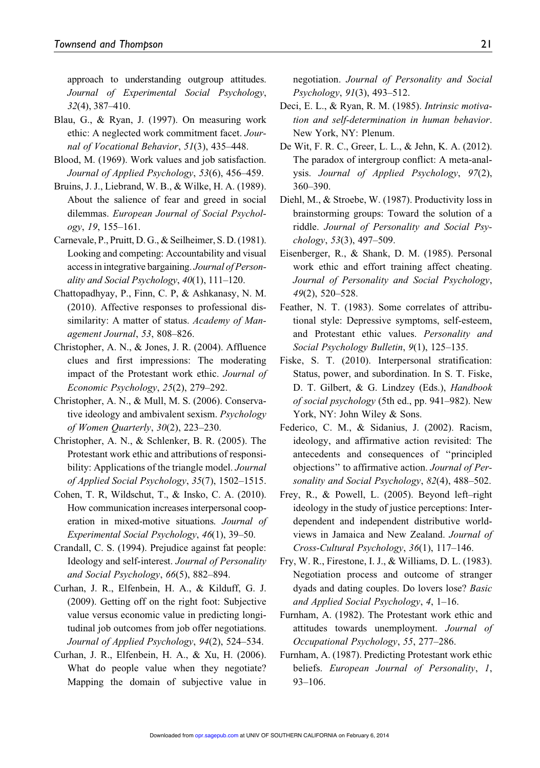approach to understanding outgroup attitudes. Journal of Experimental Social Psychology, 32(4), 387–410.

- Blau, G., & Ryan, J. (1997). On measuring work ethic: A neglected work commitment facet. Journal of Vocational Behavior, 51(3), 435–448.
- Blood, M. (1969). Work values and job satisfaction. Journal of Applied Psychology, 53(6), 456–459.
- Bruins, J. J., Liebrand, W. B., & Wilke, H. A. (1989). About the salience of fear and greed in social dilemmas. European Journal of Social Psychology, 19, 155–161.
- Carnevale, P., Pruitt, D. G., & Seilheimer, S. D. (1981). Looking and competing: Accountability and visual access in integrative bargaining. Journal of Personality and Social Psychology, 40(1), 111–120.
- Chattopadhyay, P., Finn, C. P, & Ashkanasy, N. M. (2010). Affective responses to professional dissimilarity: A matter of status. Academy of Management Journal, 53, 808–826.
- Christopher, A. N., & Jones, J. R. (2004). Affluence clues and first impressions: The moderating impact of the Protestant work ethic. Journal of Economic Psychology, 25(2), 279–292.
- Christopher, A. N., & Mull, M. S. (2006). Conservative ideology and ambivalent sexism. Psychology of Women Quarterly, 30(2), 223–230.
- Christopher, A. N., & Schlenker, B. R. (2005). The Protestant work ethic and attributions of responsibility: Applications of the triangle model. Journal of Applied Social Psychology, 35(7), 1502–1515.
- Cohen, T. R, Wildschut, T., & Insko, C. A. (2010). How communication increases interpersonal cooperation in mixed-motive situations. Journal of Experimental Social Psychology, 46(1), 39–50.
- Crandall, C. S. (1994). Prejudice against fat people: Ideology and self-interest. Journal of Personality and Social Psychology, 66(5), 882–894.
- Curhan, J. R., Elfenbein, H. A., & Kilduff, G. J. (2009). Getting off on the right foot: Subjective value versus economic value in predicting longitudinal job outcomes from job offer negotiations. Journal of Applied Psychology, 94(2), 524–534.
- Curhan, J. R., Elfenbein, H. A., & Xu, H. (2006). What do people value when they negotiate? Mapping the domain of subjective value in

negotiation. Journal of Personality and Social Psychology, 91(3), 493–512.

- Deci, E. L., & Ryan, R. M. (1985). Intrinsic motivation and self-determination in human behavior. New York, NY: Plenum.
- De Wit, F. R. C., Greer, L. L., & Jehn, K. A. (2012). The paradox of intergroup conflict: A meta-analysis. Journal of Applied Psychology, 97(2), 360–390.
- Diehl, M., & Stroebe, W. (1987). Productivity loss in brainstorming groups: Toward the solution of a riddle. Journal of Personality and Social Psychology, 53(3), 497–509.
- Eisenberger, R., & Shank, D. M. (1985). Personal work ethic and effort training affect cheating. Journal of Personality and Social Psychology, 49(2), 520–528.
- Feather, N. T. (1983). Some correlates of attributional style: Depressive symptoms, self-esteem, and Protestant ethic values. Personality and Social Psychology Bulletin, 9(1), 125–135.
- Fiske, S. T. (2010). Interpersonal stratification: Status, power, and subordination. In S. T. Fiske, D. T. Gilbert, & G. Lindzey (Eds.), Handbook of social psychology (5th ed., pp. 941–982). New York, NY: John Wiley & Sons.
- Federico, C. M., & Sidanius, J. (2002). Racism, ideology, and affirmative action revisited: The antecedents and consequences of ''principled objections'' to affirmative action. Journal of Personality and Social Psychology, 82(4), 488–502.
- Frey, R., & Powell, L. (2005). Beyond left–right ideology in the study of justice perceptions: Interdependent and independent distributive worldviews in Jamaica and New Zealand. Journal of Cross-Cultural Psychology, 36(1), 117–146.
- Fry, W. R., Firestone, I. J., & Williams, D. L. (1983). Negotiation process and outcome of stranger dyads and dating couples. Do lovers lose? Basic and Applied Social Psychology, 4, 1–16.
- Furnham, A. (1982). The Protestant work ethic and attitudes towards unemployment. Journal of Occupational Psychology, 55, 277–286.
- Furnham, A. (1987). Predicting Protestant work ethic beliefs. European Journal of Personality, 1, 93–106.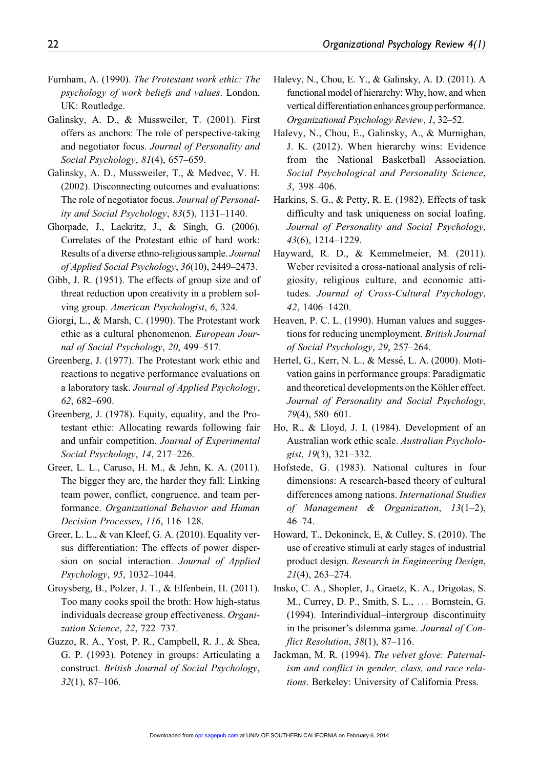- Furnham, A. (1990). The Protestant work ethic: The psychology of work beliefs and values. London, UK: Routledge.
- Galinsky, A. D., & Mussweiler, T. (2001). First offers as anchors: The role of perspective-taking and negotiator focus. Journal of Personality and Social Psychology, 81(4), 657–659.
- Galinsky, A. D., Mussweiler, T., & Medvec, V. H. (2002). Disconnecting outcomes and evaluations: The role of negotiator focus. Journal of Personality and Social Psychology, 83(5), 1131–1140.
- Ghorpade, J., Lackritz, J., & Singh, G. (2006). Correlates of the Protestant ethic of hard work: Results of a diverse ethno-religious sample. Journal of Applied Social Psychology, 36(10), 2449–2473.
- Gibb, J. R. (1951). The effects of group size and of threat reduction upon creativity in a problem solving group. American Psychologist, 6, 324.
- Giorgi, L., & Marsh, C. (1990). The Protestant work ethic as a cultural phenomenon. European Journal of Social Psychology, 20, 499–517.
- Greenberg, J. (1977). The Protestant work ethic and reactions to negative performance evaluations on a laboratory task. Journal of Applied Psychology, 62, 682–690.
- Greenberg, J. (1978). Equity, equality, and the Protestant ethic: Allocating rewards following fair and unfair competition. Journal of Experimental Social Psychology, 14, 217–226.
- Greer, L. L., Caruso, H. M., & Jehn, K. A. (2011). The bigger they are, the harder they fall: Linking team power, conflict, congruence, and team performance. Organizational Behavior and Human Decision Processes, 116, 116–128.
- Greer, L. L., & van Kleef, G. A. (2010). Equality versus differentiation: The effects of power dispersion on social interaction. Journal of Applied Psychology, 95, 1032–1044.
- Groysberg, B., Polzer, J. T., & Elfenbein, H. (2011). Too many cooks spoil the broth: How high-status individuals decrease group effectiveness. Organization Science, 22, 722–737.
- Guzzo, R. A., Yost, P. R., Campbell, R. J., & Shea, G. P. (1993). Potency in groups: Articulating a construct. British Journal of Social Psychology, 32(1), 87–106.
- Halevy, N., Chou, E. Y., & Galinsky, A. D. (2011). A functional model of hierarchy: Why, how, and when vertical differentiation enhances group performance. Organizational Psychology Review, 1, 32–52.
- Halevy, N., Chou, E., Galinsky, A., & Murnighan, J. K. (2012). When hierarchy wins: Evidence from the National Basketball Association. Social Psychological and Personality Science, 3, 398–406.
- Harkins, S. G., & Petty, R. E. (1982). Effects of task difficulty and task uniqueness on social loafing. Journal of Personality and Social Psychology, 43(6), 1214–1229.
- Hayward, R. D., & Kemmelmeier, M. (2011). Weber revisited a cross-national analysis of religiosity, religious culture, and economic attitudes. Journal of Cross-Cultural Psychology, 42, 1406–1420.
- Heaven, P. C. L. (1990). Human values and suggestions for reducing unemployment. British Journal of Social Psychology, 29, 257–264.
- Hertel, G., Kerr, N. L., & Messé, L. A. (2000). Motivation gains in performance groups: Paradigmatic and theoretical developments on the Köhler effect. Journal of Personality and Social Psychology, 79(4), 580–601.
- Ho, R., & Lloyd, J. I. (1984). Development of an Australian work ethic scale. Australian Psychologist, 19(3), 321–332.
- Hofstede, G. (1983). National cultures in four dimensions: A research-based theory of cultural differences among nations. International Studies of Management & Organization, 13(1–2), 46–74.
- Howard, T., Dekoninck, E, & Culley, S. (2010). The use of creative stimuli at early stages of industrial product design. Research in Engineering Design, 21(4), 263–274.
- Insko, C. A., Shopler, J., Graetz, K. A., Drigotas, S. M., Currey, D. P., Smith, S. L., ... Bornstein, G. (1994). Interindividual–intergroup discontinuity in the prisoner's dilemma game. Journal of Conflict Resolution, 38(1), 87–116.
- Jackman, M. R. (1994). The velvet glove: Paternalism and conflict in gender, class, and race relations. Berkeley: University of California Press.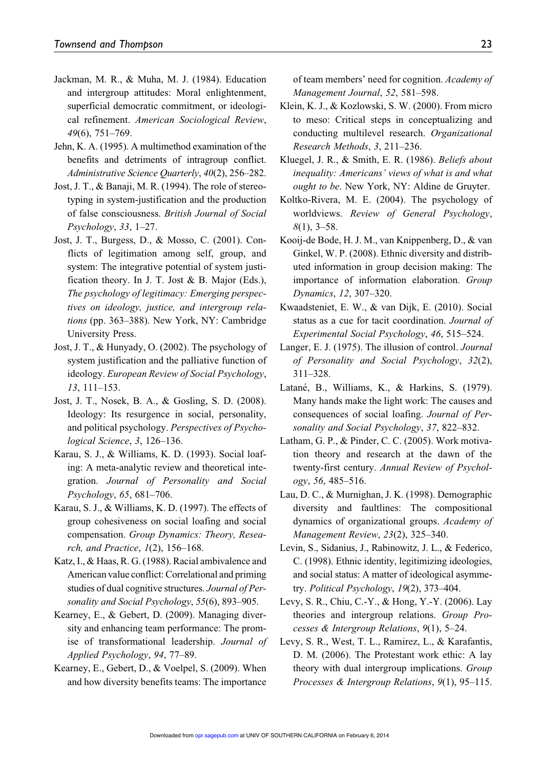- Jackman, M. R., & Muha, M. J. (1984). Education and intergroup attitudes: Moral enlightenment, superficial democratic commitment, or ideological refinement. American Sociological Review, 49(6), 751–769.
- Jehn, K. A. (1995). A multimethod examination of the benefits and detriments of intragroup conflict. Administrative Science Quarterly, 40(2), 256–282.
- Jost, J. T., & Banaji, M. R. (1994). The role of stereotyping in system-justification and the production of false consciousness. British Journal of Social Psychology, 33, 1–27.
- Jost, J. T., Burgess, D., & Mosso, C. (2001). Conflicts of legitimation among self, group, and system: The integrative potential of system justification theory. In J. T. Jost & B. Major (Eds.), The psychology of legitimacy: Emerging perspectives on ideology, justice, and intergroup relations (pp. 363–388). New York, NY: Cambridge University Press.
- Jost, J. T., & Hunyady, O. (2002). The psychology of system justification and the palliative function of ideology. European Review of Social Psychology, 13, 111–153.
- Jost, J. T., Nosek, B. A., & Gosling, S. D. (2008). Ideology: Its resurgence in social, personality, and political psychology. Perspectives of Psychological Science, 3, 126–136.
- Karau, S. J., & Williams, K. D. (1993). Social loafing: A meta-analytic review and theoretical integration. Journal of Personality and Social Psychology, 65, 681–706.
- Karau, S. J., & Williams, K. D. (1997). The effects of group cohesiveness on social loafing and social compensation. Group Dynamics: Theory, Research, and Practice,  $1(2)$ , 156-168.
- Katz, I., & Haas, R. G. (1988). Racial ambivalence and American value conflict: Correlational and priming studies of dual cognitive structures. Journal of Personality and Social Psychology, 55(6), 893–905.
- Kearney, E., & Gebert, D. (2009). Managing diversity and enhancing team performance: The promise of transformational leadership. Journal of Applied Psychology, 94, 77–89.
- Kearney, E., Gebert, D., & Voelpel, S. (2009). When and how diversity benefits teams: The importance

of team members' need for cognition. Academy of Management Journal, 52, 581–598.

- Klein, K. J., & Kozlowski, S. W. (2000). From micro to meso: Critical steps in conceptualizing and conducting multilevel research. Organizational Research Methods, 3, 211–236.
- Kluegel, J. R., & Smith, E. R. (1986). Beliefs about inequality: Americans' views of what is and what ought to be. New York, NY: Aldine de Gruyter.
- Koltko-Rivera, M. E. (2004). The psychology of worldviews. Review of General Psychology,  $8(1)$ , 3–58.
- Kooij-de Bode, H. J. M., van Knippenberg, D., & van Ginkel, W. P. (2008). Ethnic diversity and distributed information in group decision making: The importance of information elaboration. Group Dynamics, 12, 307–320.
- Kwaadsteniet, E. W., & van Dijk, E. (2010). Social status as a cue for tacit coordination. Journal of Experimental Social Psychology, 46, 515–524.
- Langer, E. J. (1975). The illusion of control. Journal of Personality and Social Psychology, 32(2), 311–328.
- Latané, B., Williams, K., & Harkins, S. (1979). Many hands make the light work: The causes and consequences of social loafing. Journal of Personality and Social Psychology, 37, 822–832.
- Latham, G. P., & Pinder, C. C. (2005). Work motivation theory and research at the dawn of the twenty-first century. Annual Review of Psychology, 56, 485–516.
- Lau, D. C., & Murnighan, J. K. (1998). Demographic diversity and faultlines: The compositional dynamics of organizational groups. Academy of Management Review, 23(2), 325–340.
- Levin, S., Sidanius, J., Rabinowitz, J. L., & Federico, C. (1998). Ethnic identity, legitimizing ideologies, and social status: A matter of ideological asymmetry. Political Psychology, 19(2), 373–404.
- Levy, S. R., Chiu, C.-Y., & Hong, Y.-Y. (2006). Lay theories and intergroup relations. Group Processes & Intergroup Relations, 9(1), 5–24.
- Levy, S. R., West, T. L., Ramirez, L., & Karafantis, D. M. (2006). The Protestant work ethic: A lay theory with dual intergroup implications. Group Processes & Intergroup Relations, 9(1), 95–115.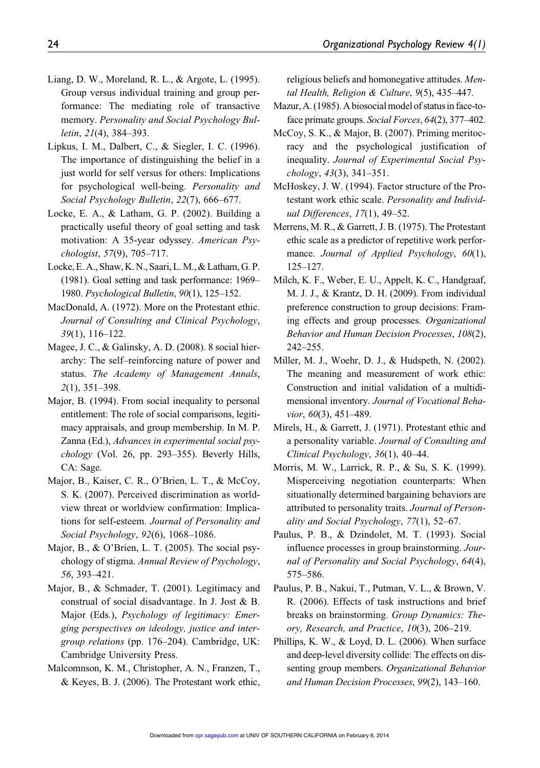- Liang, D. W., Moreland, R. L., & Argote, L. (1995). Group versus individual training and group performance: The mediating role of transactive memory. Personality and Social Psychology Bulletin, 21(4), 384–393.
- Lipkus, I. M., Dalbert, C., & Siegler, I. C. (1996). The importance of distinguishing the belief in a just world for self versus for others: Implications for psychological well-being. Personality and Social Psychology Bulletin, 22(7), 666–677.
- Locke, E. A., & Latham, G. P. (2002). Building a practically useful theory of goal setting and task motivation: A 35-year odyssey. American Psychologist, 57(9), 705–717.
- Locke, E. A., Shaw, K. N., Saari, L.M.,& Latham, G. P. (1981). Goal setting and task performance: 1969– 1980. Psychological Bulletin, 90(1), 125–152.
- MacDonald, A. (1972). More on the Protestant ethic. Journal of Consulting and Clinical Psychology, 39(1), 116–122.
- Magee, J. C., & Galinsky, A. D. (2008). 8 social hierarchy: The self–reinforcing nature of power and status. The Academy of Management Annals, 2(1), 351–398.
- Major, B. (1994). From social inequality to personal entitlement: The role of social comparisons, legitimacy appraisals, and group membership. In M. P. Zanna (Ed.), Advances in experimental social psychology (Vol. 26, pp. 293–355). Beverly Hills, CA: Sage.
- Major, B., Kaiser, C. R., O'Brien, L. T., & McCoy, S. K. (2007). Perceived discrimination as worldview threat or worldview confirmation: Implications for self-esteem. Journal of Personality and Social Psychology, 92(6), 1068–1086.
- Major, B., & O'Brien, L. T. (2005). The social psychology of stigma. Annual Review of Psychology, 56, 393–421.
- Major, B., & Schmader, T. (2001). Legitimacy and construal of social disadvantage. In J. Jost & B. Major (Eds.), Psychology of legitimacy: Emerging perspectives on ideology, justice and intergroup relations (pp. 176–204). Cambridge, UK: Cambridge University Press.
- Malcomnson, K. M., Christopher, A. N., Franzen, T., & Keyes, B. J. (2006). The Protestant work ethic,

religious beliefs and homonegative attitudes. Mental Health, Religion & Culture, 9(5), 435–447.

- Mazur, A. (1985). A biosocial model of status in face-toface primate groups. Social Forces, 64(2), 377–402.
- McCoy, S. K., & Major, B. (2007). Priming meritocracy and the psychological justification of inequality. Journal of Experimental Social Psychology, 43(3), 341–351.
- McHoskey, J. W. (1994). Factor structure of the Protestant work ethic scale. Personality and Individual Differences, 17(1), 49–52.
- Merrens, M. R., & Garrett, J. B. (1975). The Protestant ethic scale as a predictor of repetitive work performance. Journal of Applied Psychology, 60(1), 125–127.
- Milch, K. F., Weber, E. U., Appelt, K. C., Handgraaf, M. J. J., & Krantz, D. H. (2009). From individual preference construction to group decisions: Framing effects and group processes. Organizational Behavior and Human Decision Processes, 108(2), 242–255.
- Miller, M. J., Woehr, D. J., & Hudspeth, N. (2002). The meaning and measurement of work ethic: Construction and initial validation of a multidimensional inventory. Journal of Vocational Behavior, 60(3), 451–489.
- Mirels, H., & Garrett, J. (1971). Protestant ethic and a personality variable. Journal of Consulting and Clinical Psychology, 36(1), 40–44.
- Morris, M. W., Larrick, R. P., & Su, S. K. (1999). Misperceiving negotiation counterparts: When situationally determined bargaining behaviors are attributed to personality traits. Journal of Personality and Social Psychology, 77(1), 52–67.
- Paulus, P. B., & Dzindolet, M. T. (1993). Social influence processes in group brainstorming. Journal of Personality and Social Psychology, 64(4), 575–586.
- Paulus, P. B., Nakui, T., Putman, V. L., & Brown, V. R. (2006). Effects of task instructions and brief breaks on brainstorming. Group Dynamics: Theory, Research, and Practice, 10(3), 206–219.
- Phillips, K. W., & Loyd, D. L. (2006). When surface and deep-level diversity collide: The effects on dissenting group members. Organizational Behavior and Human Decision Processes, 99(2), 143–160.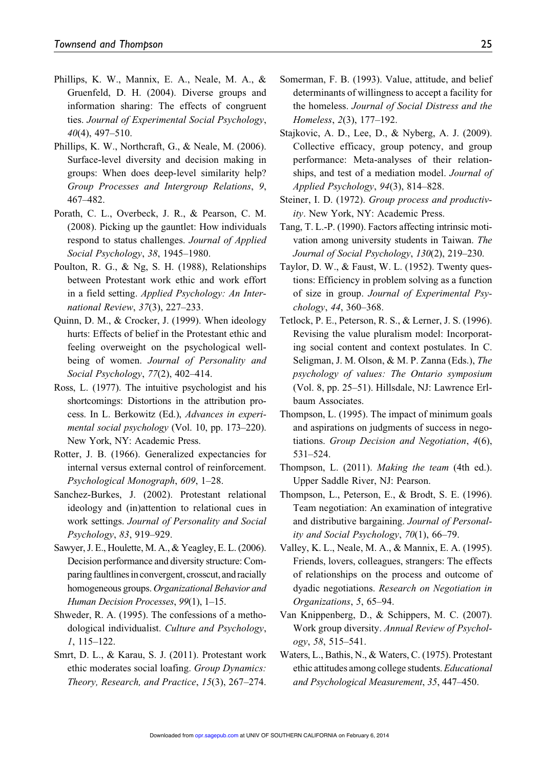- Phillips, K. W., Mannix, E. A., Neale, M. A., & Gruenfeld, D. H. (2004). Diverse groups and information sharing: The effects of congruent ties. Journal of Experimental Social Psychology, 40(4), 497–510.
- Phillips, K. W., Northcraft, G., & Neale, M. (2006). Surface-level diversity and decision making in groups: When does deep-level similarity help? Group Processes and Intergroup Relations, 9, 467–482.
- Porath, C. L., Overbeck, J. R., & Pearson, C. M. (2008). Picking up the gauntlet: How individuals respond to status challenges. Journal of Applied Social Psychology, 38, 1945–1980.
- Poulton, R. G., & Ng, S. H. (1988), Relationships between Protestant work ethic and work effort in a field setting. Applied Psychology: An International Review, 37(3), 227–233.
- Quinn, D. M., & Crocker, J. (1999). When ideology hurts: Effects of belief in the Protestant ethic and feeling overweight on the psychological wellbeing of women. Journal of Personality and Social Psychology, 77(2), 402–414.
- Ross, L. (1977). The intuitive psychologist and his shortcomings: Distortions in the attribution process. In L. Berkowitz (Ed.), Advances in experimental social psychology (Vol. 10, pp. 173–220). New York, NY: Academic Press.
- Rotter, J. B. (1966). Generalized expectancies for internal versus external control of reinforcement. Psychological Monograph, 609, 1–28.
- Sanchez-Burkes, J. (2002). Protestant relational ideology and (in)attention to relational cues in work settings. Journal of Personality and Social Psychology, 83, 919–929.
- Sawyer, J. E., Houlette, M. A., & Yeagley, E. L. (2006). Decision performance and diversity structure: Comparing faultlines in convergent, crosscut, and racially homogeneous groups. Organizational Behavior and Human Decision Processes, 99(1), 1–15.
- Shweder, R. A. (1995). The confessions of a methodological individualist. Culture and Psychology, 1, 115–122.
- Smrt, D. L., & Karau, S. J. (2011). Protestant work ethic moderates social loafing. Group Dynamics: Theory, Research, and Practice, 15(3), 267–274.
- Somerman, F. B. (1993). Value, attitude, and belief determinants of willingness to accept a facility for the homeless. Journal of Social Distress and the Homeless, 2(3), 177–192.
- Stajkovic, A. D., Lee, D., & Nyberg, A. J. (2009). Collective efficacy, group potency, and group performance: Meta-analyses of their relationships, and test of a mediation model. Journal of Applied Psychology, 94(3), 814–828.
- Steiner, I. D. (1972). Group process and productivity. New York, NY: Academic Press.
- Tang, T. L.-P. (1990). Factors affecting intrinsic motivation among university students in Taiwan. The Journal of Social Psychology, 130(2), 219–230.
- Taylor, D. W., & Faust, W. L. (1952). Twenty questions: Efficiency in problem solving as a function of size in group. Journal of Experimental Psychology, 44, 360–368.
- Tetlock, P. E., Peterson, R. S., & Lerner, J. S. (1996). Revising the value pluralism model: Incorporating social content and context postulates. In C. Seligman, J. M. Olson, & M. P. Zanna (Eds.), The psychology of values: The Ontario symposium (Vol. 8, pp. 25–51). Hillsdale, NJ: Lawrence Erlbaum Associates.
- Thompson, L. (1995). The impact of minimum goals and aspirations on judgments of success in negotiations. Group Decision and Negotiation, 4(6), 531–524.
- Thompson, L. (2011). Making the team (4th ed.). Upper Saddle River, NJ: Pearson.
- Thompson, L., Peterson, E., & Brodt, S. E. (1996). Team negotiation: An examination of integrative and distributive bargaining. Journal of Personality and Social Psychology, 70(1), 66–79.
- Valley, K. L., Neale, M. A., & Mannix, E. A. (1995). Friends, lovers, colleagues, strangers: The effects of relationships on the process and outcome of dyadic negotiations. Research on Negotiation in Organizations, 5, 65–94.
- Van Knippenberg, D., & Schippers, M. C. (2007). Work group diversity. Annual Review of Psychology, 58, 515–541.
- Waters, L., Bathis, N., & Waters, C. (1975). Protestant ethic attitudes among college students. Educational and Psychological Measurement, 35, 447–450.